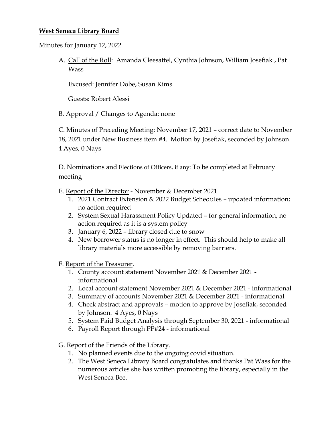## **West Seneca Library Board**

Minutes for January 12, 2022

A. Call of the Roll: Amanda Cleesattel, Cynthia Johnson, William Josefiak , Pat Wass

Excused: Jennifer Dobe, Susan Kims

Guests: Robert Alessi

## B. Approval / Changes to Agenda: none

C. Minutes of Preceding Meeting: November 17, 2021 – correct date to November 18, 2021 under New Business item #4. Motion by Josefiak, seconded by Johnson. 4 Ayes, 0 Nays

D. Nominations and Elections of Officers, if any: To be completed at February meeting

E. Report of the Director - November & December 2021

- 1. 2021 Contract Extension & 2022 Budget Schedules updated information; no action required
- 2. System Sexual Harassment Policy Updated for general information, no action required as it is a system policy
- 3. January 6, 2022 library closed due to snow
- 4. New borrower status is no longer in effect. This should help to make all library materials more accessible by removing barriers.
- F. Report of the Treasurer.
	- 1. County account statement November 2021 & December 2021 informational
	- 2. Local account statement November 2021 & December 2021 informational
	- 3. Summary of accounts November 2021 & December 2021 informational
	- 4. Check abstract and approvals motion to approve by Josefiak, seconded by Johnson. 4 Ayes, 0 Nays
	- 5. System Paid Budget Analysis through September 30, 2021 informational
	- 6. Payroll Report through PP#24 informational
- G. Report of the Friends of the Library.
	- 1. No planned events due to the ongoing covid situation.
	- 2. The West Seneca Library Board congratulates and thanks Pat Wass for the numerous articles she has written promoting the library, especially in the West Seneca Bee.